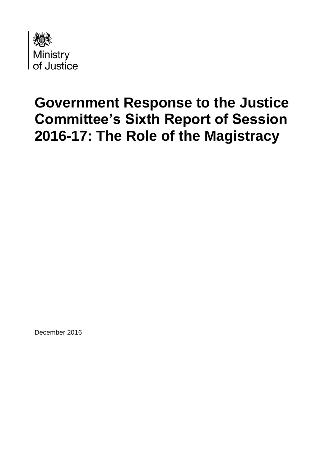

## **Government Response to the Justice Committee's Sixth Report of Session 2016-17: The Role of the Magistracy**

December 2016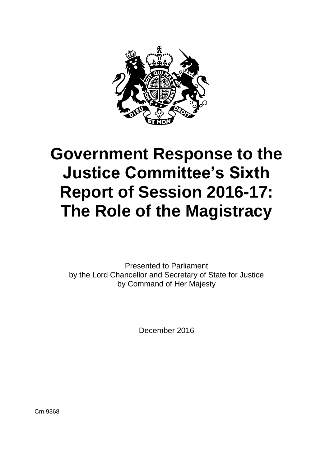

# **Government Response to the Justice Committee's Sixth Report of Session 2016-17: The Role of the Magistracy**

Presented to Parliament by the Lord Chancellor and Secretary of State for Justice by Command of Her Majesty

December 2016

Cm 9368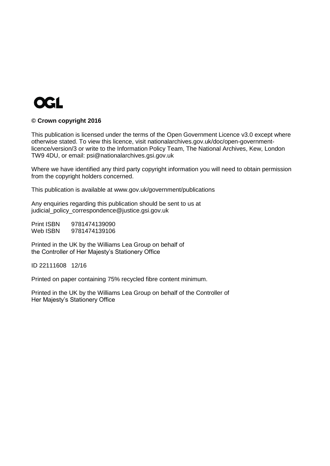

#### **© Crown copyright 2016**

This publication is licensed under the terms of the Open Government Licence v3.0 except where otherwise stated. To view this licence, visit nationalarchives.gov.uk/doc/open-governmentlicence/version/3 or write to the Information Policy Team, The National Archives, Kew, London TW9 4DU, or email: [psi@nationalarchives.gsi.gov.uk](mailto:psi@nationalarchives.gsi.gov.uk)

Where we have identified any third party copyright information you will need to obtain permission from the copyright holders concerned.

This publication is available at [www.gov.uk/government/publications](http://www.gov.uk/government/publications)

Any enquiries regarding this publication should be sent to us at judicial policy correspondence@justice.gsi.gov.uk

Print ISBN 9781474139090<br>Web ISBN 9781474139106 9781474139106

Printed in the UK by the Williams Lea Group on behalf of the Controller of Her Majesty's Stationery Office

ID 22111608 12/16

Printed on paper containing 75% recycled fibre content minimum.

Printed in the UK by the Williams Lea Group on behalf of the Controller of Her Majesty's Stationery Office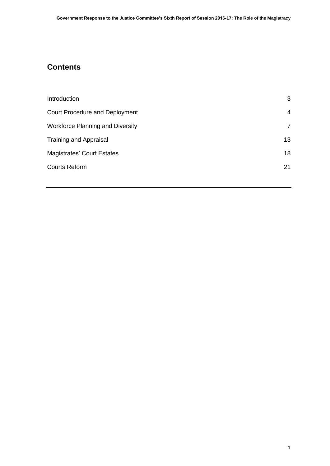### **Contents**

| 3              |
|----------------|
| 4              |
| $\overline{7}$ |
| 13             |
| 18             |
| 21             |
|                |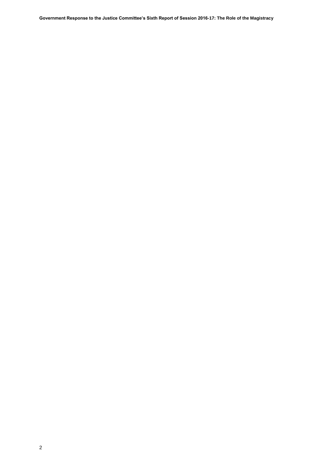**Government Response to the Justice Committee's Sixth Report of Session 2016-17: The Role of the Magistracy**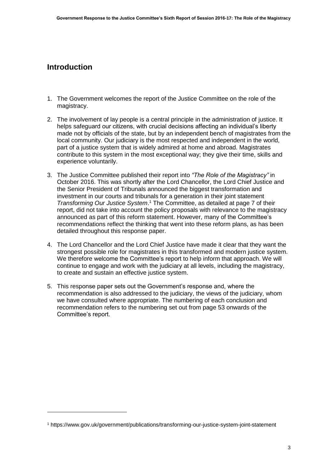#### **Introduction**

-

- 1. The Government welcomes the report of the Justice Committee on the role of the magistracy.
- 2. The involvement of lay people is a central principle in the administration of justice. It helps safeguard our citizens, with crucial decisions affecting an individual's liberty made not by officials of the state, but by an independent bench of magistrates from the local community. Our judiciary is the most respected and independent in the world, part of a justice system that is widely admired at home and abroad. Magistrates contribute to this system in the most exceptional way; they give their time, skills and experience voluntarily.
- 3. The Justice Committee published their report into *"The Role of the Magistracy"* in October 2016. This was shortly after the Lord Chancellor, the Lord Chief Justice and the Senior President of Tribunals announced the biggest transformation and investment in our courts and tribunals for a generation in their joint statement *Transforming Our Justice System*. <sup>1</sup> The Committee, as detailed at page 7 of their report, did not take into account the policy proposals with relevance to the magistracy announced as part of this reform statement. However, many of the Committee's recommendations reflect the thinking that went into these reform plans, as has been detailed throughout this response paper.
- 4. The Lord Chancellor and the Lord Chief Justice have made it clear that they want the strongest possible role for magistrates in this transformed and modern justice system. We therefore welcome the Committee's report to help inform that approach. We will continue to engage and work with the judiciary at all levels, including the magistracy, to create and sustain an effective justice system.
- 5. This response paper sets out the Government's response and, where the recommendation is also addressed to the judiciary, the views of the judiciary, whom we have consulted where appropriate. The numbering of each conclusion and recommendation refers to the numbering set out from page 53 onwards of the Committee's report.

<sup>1</sup> <https://www.gov.uk/government/publications/transforming-our-justice-system-joint-statement>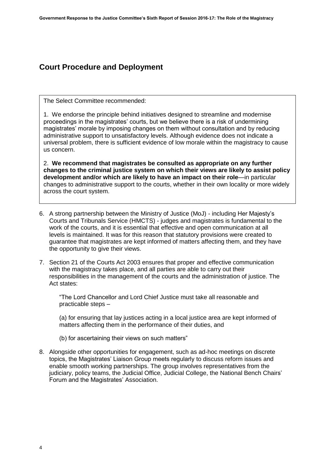#### **Court Procedure and Deployment**

The Select Committee recommended:

1. We endorse the principle behind initiatives designed to streamline and modernise proceedings in the magistrates' courts, but we believe there is a risk of undermining magistrates' morale by imposing changes on them without consultation and by reducing administrative support to unsatisfactory levels. Although evidence does not indicate a universal problem, there is sufficient evidence of low morale within the magistracy to cause us concern.

2. **We recommend that magistrates be consulted as appropriate on any further changes to the criminal justice system on which their views are likely to assist policy development and/or which are likely to have an impact on their role**—in particular changes to administrative support to the courts, whether in their own locality or more widely across the court system.

- 6. A strong partnership between the Ministry of Justice (MoJ) including Her Majesty's Courts and Tribunals Service (HMCTS) - judges and magistrates is fundamental to the work of the courts, and it is essential that effective and open communication at all levels is maintained. It was for this reason that statutory provisions were created to guarantee that magistrates are kept informed of matters affecting them, and they have the opportunity to give their views.
- 7. Section 21 of the Courts Act 2003 ensures that proper and effective communication with the magistracy takes place, and all parties are able to carry out their responsibilities in the management of the courts and the administration of justice. The Act states:

"The Lord Chancellor and Lord Chief Justice must take all reasonable and practicable steps –

(a) for ensuring that lay justices acting in a local justice area are kept informed of matters affecting them in the performance of their duties, and

- (b) for ascertaining their views on such matters"
- 8. Alongside other opportunities for engagement, such as ad-hoc meetings on discrete topics, the Magistrates' Liaison Group meets regularly to discuss reform issues and enable smooth working partnerships. The group involves representatives from the judiciary, policy teams, the Judicial Office, Judicial College, the National Bench Chairs' Forum and the Magistrates' Association.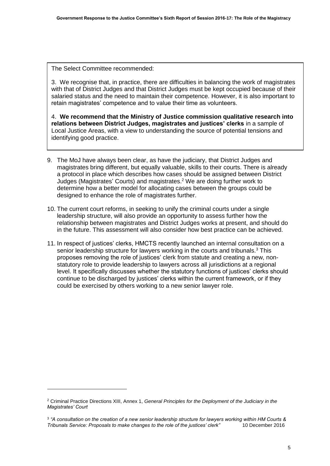3. We recognise that, in practice, there are difficulties in balancing the work of magistrates with that of District Judges and that District Judges must be kept occupied because of their salaried status and the need to maintain their competence. However, it is also important to retain magistrates' competence and to value their time as volunteers.

4. **We recommend that the Ministry of Justice commission qualitative research into relations between District Judges, magistrates and justices' clerks** in a sample of Local Justice Areas, with a view to understanding the source of potential tensions and identifying good practice.

- 9. The MoJ have always been clear, as have the judiciary, that District Judges and magistrates bring different, but equally valuable, skills to their courts. There is already a protocol in place which describes how cases should be assigned between District Judges (Magistrates' Courts) and magistrates. <sup>2</sup> We are doing further work to determine how a better model for allocating cases between the groups could be designed to enhance the role of magistrates further.
- 10. The current court reforms, in seeking to unify the criminal courts under a single leadership structure, will also provide an opportunity to assess further how the relationship between magistrates and District Judges works at present, and should do in the future. This assessment will also consider how best practice can be achieved.
- 11. In respect of justices' clerks, HMCTS recently launched an internal consultation on a senior leadership structure for lawyers working in the courts and tribunals.<sup>3</sup> This proposes removing the role of justices' clerk from statute and creating a new, nonstatutory role to provide leadership to lawyers across all jurisdictions at a regional level. It specifically discusses whether the statutory functions of justices' clerks should continue to be discharged by justices' clerks within the current framework, or if they could be exercised by others working to a new senior lawyer role.

1

<sup>2</sup> Criminal Practice Directions XIII, Annex 1, *General Principles for the Deployment of the Judiciary in the Magistrates' Court*

<sup>3</sup> *"A consultation on the creation of a new senior leadership structure for lawyers working within HM Courts & Tribunals Service: Proposals to make changes to the role of the justices' clerk"* 10 December 2016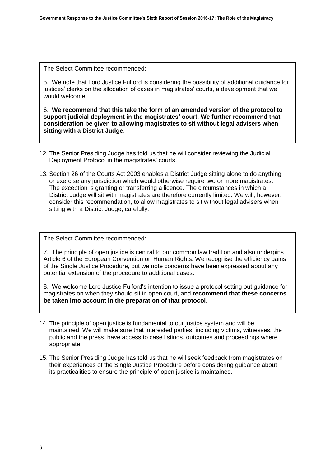5. We note that Lord Justice Fulford is considering the possibility of additional guidance for justices' clerks on the allocation of cases in magistrates' courts, a development that we would welcome.

6. **We recommend that this take the form of an amended version of the protocol to support judicial deployment in the magistrates' court. We further recommend that consideration be given to allowing magistrates to sit without legal advisers when sitting with a District Judge**.

- 12. The Senior Presiding Judge has told us that he will consider reviewing the Judicial Deployment Protocol in the magistrates' courts.
- 13. Section 26 of the Courts Act 2003 enables a District Judge sitting alone to do anything or exercise any jurisdiction which would otherwise require two or more magistrates. The exception is granting or transferring a licence. The circumstances in which a District Judge will sit with magistrates are therefore currently limited. We will, however, consider this recommendation, to allow magistrates to sit without legal advisers when sitting with a District Judge, carefully.

The Select Committee recommended:

7. The principle of open justice is central to our common law tradition and also underpins Article 6 of the European Convention on Human Rights. We recognise the efficiency gains of the Single Justice Procedure, but we note concerns have been expressed about any potential extension of the procedure to additional cases.

8. We welcome Lord Justice Fulford's intention to issue a protocol setting out guidance for magistrates on when they should sit in open court, and **recommend that these concerns be taken into account in the preparation of that protocol**.

- 14. The principle of open justice is fundamental to our justice system and will be maintained. We will make sure that interested parties, including victims, witnesses, the public and the press, have access to case listings, outcomes and proceedings where appropriate.
- 15. The Senior Presiding Judge has told us that he will seek feedback from magistrates on their experiences of the Single Justice Procedure before considering guidance about its practicalities to ensure the principle of open justice is maintained.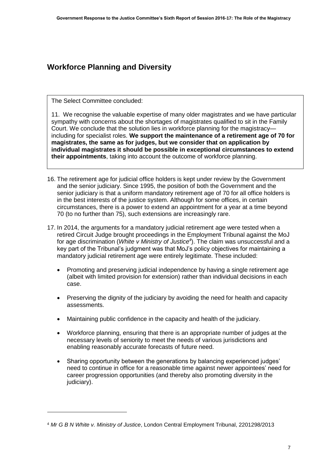## **Workforce Planning and Diversity**

The Select Committee concluded:

-

11. We recognise the valuable expertise of many older magistrates and we have particular sympathy with concerns about the shortages of magistrates qualified to sit in the Family Court. We conclude that the solution lies in workforce planning for the magistracy including for specialist roles. **We support the maintenance of a retirement age of 70 for magistrates, the same as for judges, but we consider that on application by individual magistrates it should be possible in exceptional circumstances to extend their appointments**, taking into account the outcome of workforce planning.

- 16. The retirement age for judicial office holders is kept under review by the Government and the senior judiciary. Since 1995, the position of both the Government and the senior judiciary is that a uniform mandatory retirement age of 70 for all office holders is in the best interests of the justice system. Although for some offices, in certain circumstances, there is a power to extend an appointment for a year at a time beyond 70 (to no further than 75), such extensions are increasingly rare.
- 17. In 2014, the arguments for a mandatory judicial retirement age were tested when a retired Circuit Judge brought proceedings in the Employment Tribunal against the MoJ for age discrimination (*White v Ministry of Justice<sup>4</sup>* ). The claim was unsuccessful and a key part of the Tribunal's judgment was that MoJ's policy objectives for maintaining a mandatory judicial retirement age were entirely legitimate. These included:
	- Promoting and preserving judicial independence by having a single retirement age (albeit with limited provision for extension) rather than individual decisions in each case.
	- Preserving the dignity of the judiciary by avoiding the need for health and capacity assessments.
	- Maintaining public confidence in the capacity and health of the judiciary.
	- Workforce planning, ensuring that there is an appropriate number of judges at the necessary levels of seniority to meet the needs of various jurisdictions and enabling reasonably accurate forecasts of future need.
	- Sharing opportunity between the generations by balancing experienced judges' need to continue in office for a reasonable time against newer appointees' need for career progression opportunities (and thereby also promoting diversity in the judiciary).

<sup>4</sup> *Mr G B N White v. Ministry of Justice*, London Central Employment Tribunal, 2201298/2013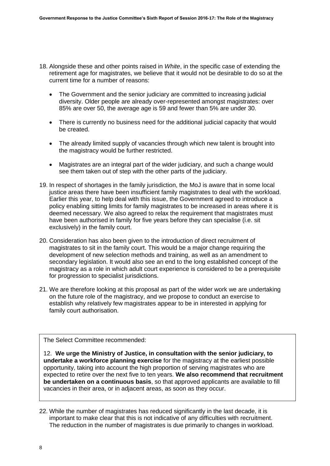- 18. Alongside these and other points raised in *White*, in the specific case of extending the retirement age for magistrates, we believe that it would not be desirable to do so at the current time for a number of reasons:
	- The Government and the senior judiciary are committed to increasing judicial diversity. Older people are already over-represented amongst magistrates: over 85% are over 50, the average age is 59 and fewer than 5% are under 30.
	- There is currently no business need for the additional judicial capacity that would be created.
	- The already limited supply of vacancies through which new talent is brought into the magistracy would be further restricted.
	- Magistrates are an integral part of the wider judiciary, and such a change would see them taken out of step with the other parts of the judiciary.
- 19. In respect of shortages in the family jurisdiction, the MoJ is aware that in some local justice areas there have been insufficient family magistrates to deal with the workload. Earlier this year, to help deal with this issue, the Government agreed to introduce a policy enabling sitting limits for family magistrates to be increased in areas where it is deemed necessary. We also agreed to relax the requirement that magistrates must have been authorised in family for five years before they can specialise (i.e. sit exclusively) in the family court.
- 20. Consideration has also been given to the introduction of direct recruitment of magistrates to sit in the family court. This would be a major change requiring the development of new selection methods and training, as well as an amendment to secondary legislation. It would also see an end to the long established concept of the magistracy as a role in which adult court experience is considered to be a prerequisite for progression to specialist jurisdictions.
- 21. We are therefore looking at this proposal as part of the wider work we are undertaking on the future role of the magistracy, and we propose to conduct an exercise to establish why relatively few magistrates appear to be in interested in applying for family court authorisation.

12. **We urge the Ministry of Justice, in consultation with the senior judiciary, to undertake a workforce planning exercise** for the magistracy at the earliest possible opportunity, taking into account the high proportion of serving magistrates who are expected to retire over the next five to ten years. **We also recommend that recruitment be undertaken on a continuous basis**, so that approved applicants are available to fill vacancies in their area, or in adjacent areas, as soon as they occur.

22. While the number of magistrates has reduced significantly in the last decade, it is important to make clear that this is not indicative of any difficulties with recruitment. The reduction in the number of magistrates is due primarily to changes in workload.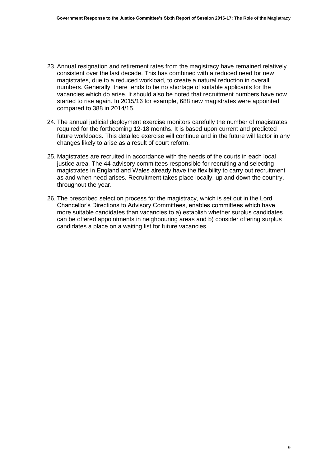- 23. Annual resignation and retirement rates from the magistracy have remained relatively consistent over the last decade. This has combined with a reduced need for new magistrates, due to a reduced workload, to create a natural reduction in overall numbers. Generally, there tends to be no shortage of suitable applicants for the vacancies which do arise. It should also be noted that recruitment numbers have now started to rise again. In 2015/16 for example, 688 new magistrates were appointed compared to 388 in 2014/15.
- 24. The annual judicial deployment exercise monitors carefully the number of magistrates required for the forthcoming 12-18 months. It is based upon current and predicted future workloads. This detailed exercise will continue and in the future will factor in any changes likely to arise as a result of court reform.
- 25. Magistrates are recruited in accordance with the needs of the courts in each local justice area. The 44 advisory committees responsible for recruiting and selecting magistrates in England and Wales already have the flexibility to carry out recruitment as and when need arises. Recruitment takes place locally, up and down the country, throughout the year.
- 26. The prescribed selection process for the magistracy, which is set out in the Lord Chancellor's Directions to Advisory Committees, enables committees which have more suitable candidates than vacancies to a) establish whether surplus candidates can be offered appointments in neighbouring areas and b) consider offering surplus candidates a place on a waiting list for future vacancies.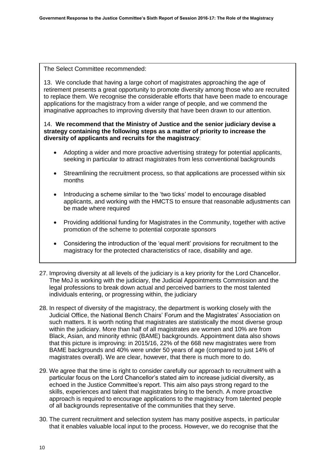13. We conclude that having a large cohort of magistrates approaching the age of retirement presents a great opportunity to promote diversity among those who are recruited to replace them. We recognise the considerable efforts that have been made to encourage applications for the magistracy from a wider range of people, and we commend the imaginative approaches to improving diversity that have been drawn to our attention.

#### 14. **We recommend that the Ministry of Justice and the senior judiciary devise a strategy containing the following steps as a matter of priority to increase the diversity of applicants and recruits for the magistracy**:

- Adopting a wider and more proactive advertising strategy for potential applicants, seeking in particular to attract magistrates from less conventional backgrounds
- Streamlining the recruitment process, so that applications are processed within six months
- Introducing a scheme similar to the 'two ticks' model to encourage disabled applicants, and working with the HMCTS to ensure that reasonable adjustments can be made where required
- Providing additional funding for Magistrates in the Community, together with active promotion of the scheme to potential corporate sponsors
- Considering the introduction of the 'equal merit' provisions for recruitment to the magistracy for the protected characteristics of race, disability and age.
- 27. Improving diversity at all levels of the judiciary is a key priority for the Lord Chancellor. The MoJ is working with the judiciary, the Judicial Appointments Commission and the legal professions to break down actual and perceived barriers to the most talented individuals entering, or progressing within, the judiciary
- 28. In respect of diversity of the magistracy, the department is working closely with the Judicial Office, the National Bench Chairs' Forum and the Magistrates' Association on such matters. It is worth noting that magistrates are statistically the most diverse group within the judiciary. More than half of all magistrates are women and 10% are from Black, Asian, and minority ethnic (BAME) backgrounds. Appointment data also shows that this picture is improving: in 2015/16, 22% of the 668 new magistrates were from BAME backgrounds and 40% were under 50 years of age (compared to just 14% of magistrates overall). We are clear, however, that there is much more to do.
- 29. We agree that the time is right to consider carefully our approach to recruitment with a particular focus on the Lord Chancellor's stated aim to increase judicial diversity, as echoed in the Justice Committee's report. This aim also pays strong regard to the skills, experiences and talent that magistrates bring to the bench. A more proactive approach is required to encourage applications to the magistracy from talented people of all backgrounds representative of the communities that they serve.
- 30. The current recruitment and selection system has many positive aspects, in particular that it enables valuable local input to the process. However, we do recognise that the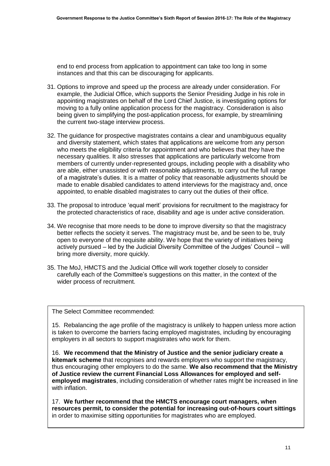end to end process from application to appointment can take too long in some instances and that this can be discouraging for applicants.

- 31. Options to improve and speed up the process are already under consideration. For example, the Judicial Office, which supports the Senior Presiding Judge in his role in appointing magistrates on behalf of the Lord Chief Justice, is investigating options for moving to a fully online application process for the magistracy. Consideration is also being given to simplifying the post-application process, for example, by streamlining the current two-stage interview process.
- 32. The guidance for prospective magistrates contains a clear and unambiguous equality and diversity statement, which states that applications are welcome from any person who meets the eligibility criteria for appointment and who believes that they have the necessary qualities. It also stresses that applications are particularly welcome from members of currently under-represented groups, including people with a disability who are able, either unassisted or with reasonable adjustments, to carry out the full range of a magistrate's duties. It is a matter of policy that reasonable adjustments should be made to enable disabled candidates to attend interviews for the magistracy and, once appointed, to enable disabled magistrates to carry out the duties of their office.
- 33. The proposal to introduce 'equal merit' provisions for recruitment to the magistracy for the protected characteristics of race, disability and age is under active consideration.
- 34. We recognise that more needs to be done to improve diversity so that the magistracy better reflects the society it serves. The magistracy must be, and be seen to be, truly open to everyone of the requisite ability. We hope that the variety of initiatives being actively pursued – led by the Judicial Diversity Committee of the Judges' Council – will bring more diversity, more quickly.
- 35. The MoJ, HMCTS and the Judicial Office will work together closely to consider carefully each of the Committee's suggestions on this matter, in the context of the wider process of recruitment.

The Select Committee recommended:

15. Rebalancing the age profile of the magistracy is unlikely to happen unless more action is taken to overcome the barriers facing employed magistrates, including by encouraging employers in all sectors to support magistrates who work for them.

16. **We recommend that the Ministry of Justice and the senior judiciary create a kitemark scheme** that recognises and rewards employers who support the magistracy, thus encouraging other employers to do the same. **We also recommend that the Ministry of Justice review the current Financial Loss Allowances for employed and selfemployed magistrates**, including consideration of whether rates might be increased in line with inflation.

17. **We further recommend that the HMCTS encourage court managers, when resources permit, to consider the potential for increasing out-of-hours court sittings** in order to maximise sitting opportunities for magistrates who are employed.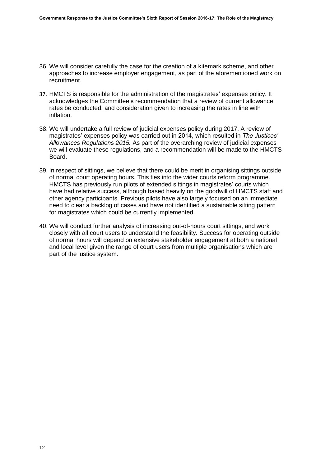- 36. We will consider carefully the case for the creation of a kitemark scheme, and other approaches to increase employer engagement, as part of the aforementioned work on recruitment.
- 37. HMCTS is responsible for the administration of the magistrates' expenses policy. It acknowledges the Committee's recommendation that a review of current allowance rates be conducted, and consideration given to increasing the rates in line with inflation.
- 38. We will undertake a full review of judicial expenses policy during 2017. A review of magistrates' expenses policy was carried out in 2014, which resulted in *The Justices' Allowances Regulations 2015.* As part of the overarching review of judicial expenses we will evaluate these regulations, and a recommendation will be made to the HMCTS Board.
- 39. In respect of sittings, we believe that there could be merit in organising sittings outside of normal court operating hours. This ties into the wider courts reform programme. HMCTS has previously run pilots of extended sittings in magistrates' courts which have had relative success, although based heavily on the goodwill of HMCTS staff and other agency participants. Previous pilots have also largely focused on an immediate need to clear a backlog of cases and have not identified a sustainable sitting pattern for magistrates which could be currently implemented.
- 40. We will conduct further analysis of increasing out-of-hours court sittings, and work closely with all court users to understand the feasibility. Success for operating outside of normal hours will depend on extensive stakeholder engagement at both a national and local level given the range of court users from multiple organisations which are part of the justice system.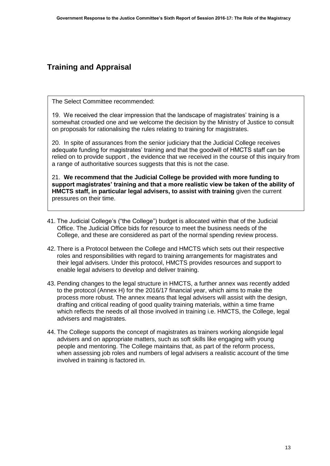### **Training and Appraisal**

The Select Committee recommended:

19. We received the clear impression that the landscape of magistrates' training is a somewhat crowded one and we welcome the decision by the Ministry of Justice to consult on proposals for rationalising the rules relating to training for magistrates.

20. In spite of assurances from the senior judiciary that the Judicial College receives adequate funding for magistrates' training and that the goodwill of HMCTS staff can be relied on to provide support , the evidence that we received in the course of this inquiry from a range of authoritative sources suggests that this is not the case.

21. **We recommend that the Judicial College be provided with more funding to support magistrates' training and that a more realistic view be taken of the ability of HMCTS staff, in particular legal advisers, to assist with training** given the current pressures on their time.

- 41. The Judicial College's ("the College") budget is allocated within that of the Judicial Office. The Judicial Office bids for resource to meet the business needs of the College, and these are considered as part of the normal spending review process.
- 42. There is a Protocol between the College and HMCTS which sets out their respective roles and responsibilities with regard to training arrangements for magistrates and their legal advisers. Under this protocol, HMCTS provides resources and support to enable legal advisers to develop and deliver training.
- 43. Pending changes to the legal structure in HMCTS, a further annex was recently added to the protocol (Annex H) for the 2016/17 financial year, which aims to make the process more robust. The annex means that legal advisers will assist with the design, drafting and critical reading of good quality training materials, within a time frame which reflects the needs of all those involved in training i.e. HMCTS, the College, legal advisers and magistrates.
- 44. The College supports the concept of magistrates as trainers working alongside legal advisers and on appropriate matters, such as soft skills like engaging with young people and mentoring. The College maintains that, as part of the reform process, when assessing job roles and numbers of legal advisers a realistic account of the time involved in training is factored in.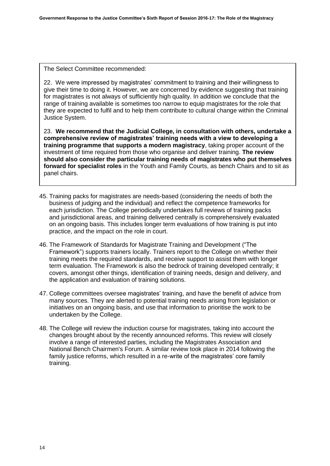22. We were impressed by magistrates' commitment to training and their willingness to give their time to doing it. However, we are concerned by evidence suggesting that training for magistrates is not always of sufficiently high quality. In addition we conclude that the range of training available is sometimes too narrow to equip magistrates for the role that they are expected to fulfil and to help them contribute to cultural change within the Criminal Justice System.

23. **We recommend that the Judicial College, in consultation with others, undertake a comprehensive review of magistrates' training needs with a view to developing a training programme that supports a modern magistracy**, taking proper account of the investment of time required from those who organise and deliver training. **The review should also consider the particular training needs of magistrates who put themselves forward for specialist roles** in the Youth and Family Courts, as bench Chairs and to sit as panel chairs.

- 45. Training packs for magistrates are needs-based (considering the needs of both the business of judging and the individual) and reflect the competence frameworks for each jurisdiction. The College periodically undertakes full reviews of training packs and jurisdictional areas, and training delivered centrally is comprehensively evaluated on an ongoing basis. This includes longer term evaluations of how training is put into practice, and the impact on the role in court.
- 46. The Framework of Standards for Magistrate Training and Development ("The Framework") supports trainers locally. Trainers report to the College on whether their training meets the required standards, and receive support to assist them with longer term evaluation. The Framework is also the bedrock of training developed centrally; it covers, amongst other things, identification of training needs, design and delivery, and the application and evaluation of training solutions.
- 47. College committees oversee magistrates' training, and have the benefit of advice from many sources. They are alerted to potential training needs arising from legislation or initiatives on an ongoing basis, and use that information to prioritise the work to be undertaken by the College.
- 48. The College will review the induction course for magistrates, taking into account the changes brought about by the recently announced reforms. This review will closely involve a range of interested parties, including the Magistrates Association and National Bench Chairmen's Forum. A similar review took place in 2014 following the family justice reforms, which resulted in a re-write of the magistrates' core family training.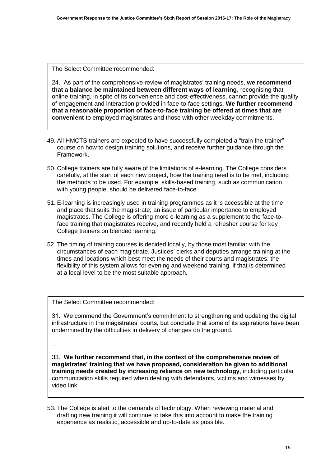24. As part of the comprehensive review of magistrates' training needs, **we recommend that a balance be maintained between different ways of learning**, recognising that online training, in spite of its convenience and cost-effectiveness, cannot provide the quality of engagement and interaction provided in face-to-face settings. **We further recommend that a reasonable proportion of face-to-face training be offered at times that are convenient** to employed magistrates and those with other weekday commitments.

- 49. All HMCTS trainers are expected to have successfully completed a "train the trainer" course on how to design training solutions, and receive further guidance through the Framework.
- 50. College trainers are fully aware of the limitations of e-learning. The College considers carefully, at the start of each new project, how the training need is to be met, including the methods to be used. For example, skills-based training, such as communication with young people, should be delivered face-to-face.
- 51. E-learning is increasingly used in training programmes as it is accessible at the time and place that suits the magistrate; an issue of particular importance to employed magistrates. The College is offering more e-learning as a supplement to the face-toface training that magistrates receive, and recently held a refresher course for key College trainers on blended learning.
- 52. The timing of training courses is decided locally, by those most familiar with the circumstances of each magistrate. Justices' clerks and deputies arrange training at the times and locations which best meet the needs of their courts and magistrates; the flexibility of this system allows for evening and weekend training, if that is determined at a local level to be the most suitable approach.

The Select Committee recommended:

31. We commend the Government's commitment to strengthening and updating the digital infrastructure in the magistrates' courts, but conclude that some of its aspirations have been undermined by the difficulties in delivery of changes on the ground.

…

33. **We further recommend that, in the context of the comprehensive review of magistrates' training that we have proposed, consideration be given to additional training needs created by increasing reliance on new technology**, including particular communication skills required when dealing with defendants, victims and witnesses by video link.

53. The College is alert to the demands of technology. When reviewing material and drafting new training it will continue to take this into account to make the training experience as realistic, accessible and up-to-date as possible.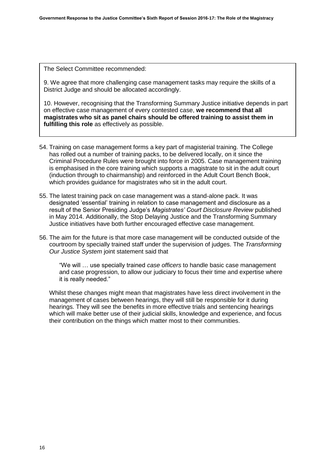9. We agree that more challenging case management tasks may require the skills of a District Judge and should be allocated accordingly.

10. However, recognising that the Transforming Summary Justice initiative depends in part on effective case management of every contested case, **we recommend that all magistrates who sit as panel chairs should be offered training to assist them in fulfilling this role** as effectively as possible.

- 54. Training on case management forms a key part of magisterial training. The College has rolled out a number of training packs, to be delivered locally, on it since the Criminal Procedure Rules were brought into force in 2005. Case management training is emphasised in the core training which supports a magistrate to sit in the adult court (induction through to chairmanship) and reinforced in the Adult Court Bench Book, which provides guidance for magistrates who sit in the adult court.
- 55. The latest training pack on case management was a stand-alone pack. It was designated 'essential' training in relation to case management and disclosure as a result of the Senior Presiding Judge's *Magistrates' Court Disclosure Review* published in May 2014. Additionally, the Stop Delaying Justice and the Transforming Summary Justice initiatives have both further encouraged effective case management.
- 56. The aim for the future is that more case management will be conducted outside of the courtroom by specially trained staff under the supervision of judges. The *Transforming Our Justice System* joint statement said that

"We will … use specially trained *case officers* to handle basic case management and case progression, to allow our judiciary to focus their time and expertise where it is really needed."

Whilst these changes might mean that magistrates have less direct involvement in the management of cases between hearings, they will still be responsible for it during hearings. They will see the benefits in more effective trials and sentencing hearings which will make better use of their judicial skills, knowledge and experience, and focus their contribution on the things which matter most to their communities.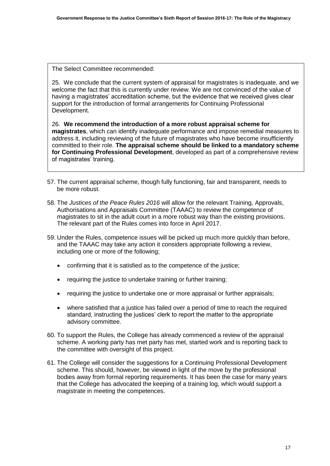25. We conclude that the current system of appraisal for magistrates is inadequate, and we welcome the fact that this is currently under review. We are not convinced of the value of having a magistrates' accreditation scheme, but the evidence that we received gives clear support for the introduction of formal arrangements for Continuing Professional Development.

26. **We recommend the introduction of a more robust appraisal scheme for magistrates**, which can identify inadequate performance and impose remedial measures to address it, including reviewing of the future of magistrates who have become insufficiently committed to their role. **The appraisal scheme should be linked to a mandatory scheme for Continuing Professional Development**, developed as part of a comprehensive review of magistrates' training.

- 57. The current appraisal scheme, though fully functioning, fair and transparent, needs to be more robust.
- 58. The *Justices of the Peace Rules 2016* will allow for the relevant Training, Approvals, Authorisations and Appraisals Committee (TAAAC) to review the competence of magistrates to sit in the adult court in a more robust way than the existing provisions. The relevant part of the Rules comes into force in April 2017.
- 59. Under the Rules, competence issues will be picked up much more quickly than before, and the TAAAC may take any action it considers appropriate following a review, including one or more of the following;
	- confirming that it is satisfied as to the competence of the justice;
	- requiring the justice to undertake training or further training;
	- requiring the justice to undertake one or more appraisal or further appraisals;
	- where satisfied that a justice has failed over a period of time to reach the required standard, instructing the justices' clerk to report the matter to the appropriate advisory committee.
- 60. To support the Rules, the College has already commenced a review of the appraisal scheme. A working party has met party has met, started work and is reporting back to the committee with oversight of this project.
- 61. The College will consider the suggestions for a Continuing Professional Development scheme. This should, however, be viewed in light of the move by the professional bodies away from formal reporting requirements. It has been the case for many years that the College has advocated the keeping of a training log, which would support a magistrate in meeting the competences.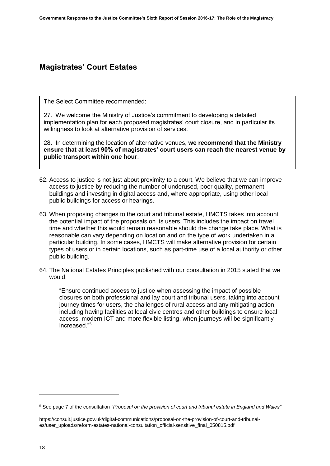#### **Magistrates' Court Estates**

The Select Committee recommended:

27. We welcome the Ministry of Justice's commitment to developing a detailed implementation plan for each proposed magistrates' court closure, and in particular its willingness to look at alternative provision of services.

28. In determining the location of alternative venues, **we recommend that the Ministry ensure that at least 90% of magistrates' court users can reach the nearest venue by public transport within one hour**.

- 62. Access to justice is not just about proximity to a court. We believe that we can improve access to justice by reducing the number of underused, poor quality, permanent buildings and investing in digital access and, where appropriate, using other local public buildings for access or hearings.
- 63. When proposing changes to the court and tribunal estate, HMCTS takes into account the potential impact of the proposals on its users. This includes the impact on travel time and whether this would remain reasonable should the change take place. What is reasonable can vary depending on location and on the type of work undertaken in a particular building. In some cases, HMCTS will make alternative provision for certain types of users or in certain locations, such as part-time use of a local authority or other public building.
- 64. The National Estates Principles published with our consultation in 2015 stated that we would:

"Ensure continued access to justice when assessing the impact of possible closures on both professional and lay court and tribunal users, taking into account journey times for users, the challenges of rural access and any mitigating action, including having facilities at local civic centres and other buildings to ensure local access, modern ICT and more flexible listing, when journeys will be significantly increased."5

 $\overline{a}$ 

<sup>5</sup> See page 7 of the consultation *"Proposal on the provision of court and tribunal estate in England and Wales"*

[https://consult.justice.gov.uk/digital-communications/proposal-on-the-provision-of-court-and-tribunal](https://consult.justice.gov.uk/digital-communications/proposal-on-the-provision-of-court-and-tribunal-es/user_uploads/reform-estates-national-consultation_official-sensitive_final_050815.pdf)[es/user\\_uploads/reform-estates-national-consultation\\_official-sensitive\\_final\\_050815.pdf](https://consult.justice.gov.uk/digital-communications/proposal-on-the-provision-of-court-and-tribunal-es/user_uploads/reform-estates-national-consultation_official-sensitive_final_050815.pdf)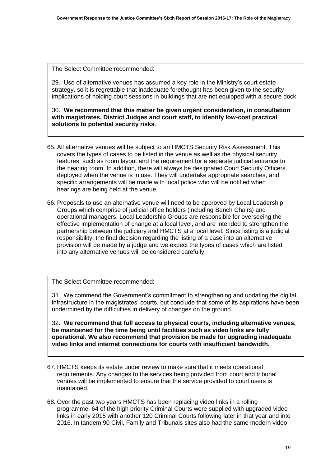29. Use of alternative venues has assumed a key role in the Ministry's court estate strategy, so it is regrettable that inadequate forethought has been given to the security implications of holding court sessions in buildings that are not equipped with a secure dock.

30. **We recommend that this matter be given urgent consideration, in consultation with magistrates, District Judges and court staff, to identify low-cost practical solutions to potential security risks**.

- 65. All alternative venues will be subject to an HMCTS Security Risk Assessment. This covers the types of cases to be listed in the venue as well as the physical security features, such as room layout and the requirement for a separate judicial entrance to the hearing room. In addition, there will always be designated Court Security Officers deployed when the venue is in use. They will undertake appropriate searches, and specific arrangements will be made with local police who will be notified when hearings are being held at the venue.
- 66. Proposals to use an alternative venue will need to be approved by Local Leadership Groups which comprise of judicial office holders (including Bench Chairs) and operational managers. Local Leadership Groups are responsible for overseeing the effective implementation of change at a local level, and are intended to strengthen the partnership between the judiciary and HMCTS at a local level. Since listing is a judicial responsibility, the final decision regarding the listing of a case into an alternative provision will be made by a judge and we expect the types of cases which are listed into any alternative venues will be considered carefully.

The Select Committee recommended:

31. We commend the Government's commitment to strengthening and updating the digital infrastructure in the magistrates' courts, but conclude that some of its aspirations have been undermined by the difficulties in delivery of changes on the ground.

32. **We recommend that full access to physical courts, including alternative venues, be maintained for the time being until facilities such as video links are fully operational**. **We also recommend that provision be made for upgrading inadequate video links and internet connections for courts with insufficient bandwidth.**

- 67. HMCTS keeps its estate under review to make sure that it meets operational requirements. Any changes to the services being provided from court and tribunal venues will be implemented to ensure that the service provided to court users is maintained.
- 68. Over the past two years HMCTS has been replacing video links in a rolling programme. 64 of the high priority Criminal Courts were supplied with upgraded video links in early 2015 with another 120 Criminal Courts following later in that year and into 2016. In tandem 90 Civil, Family and Tribunals sites also had the same modern video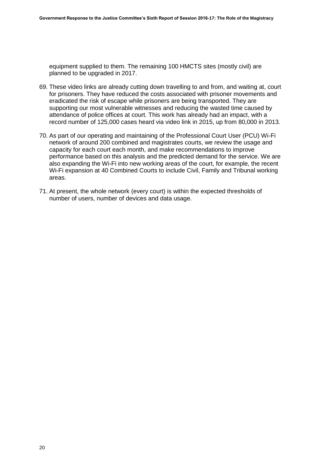equipment supplied to them. The remaining 100 HMCTS sites (mostly civil) are planned to be upgraded in 2017.

- 69. These video links are already cutting down travelling to and from, and waiting at, court for prisoners. They have reduced the costs associated with prisoner movements and eradicated the risk of escape while prisoners are being transported. They are supporting our most vulnerable witnesses and reducing the wasted time caused by attendance of police offices at court. This work has already had an impact, with a record number of 125,000 cases heard via video link in 2015, up from 80,000 in 2013.
- 70. As part of our operating and maintaining of the Professional Court User (PCU) Wi-Fi network of around 200 combined and magistrates courts, we review the usage and capacity for each court each month, and make recommendations to improve performance based on this analysis and the predicted demand for the service. We are also expanding the Wi-Fi into new working areas of the court, for example, the recent Wi-Fi expansion at 40 Combined Courts to include Civil, Family and Tribunal working areas.
- 71. At present, the whole network (every court) is within the expected thresholds of number of users, number of devices and data usage.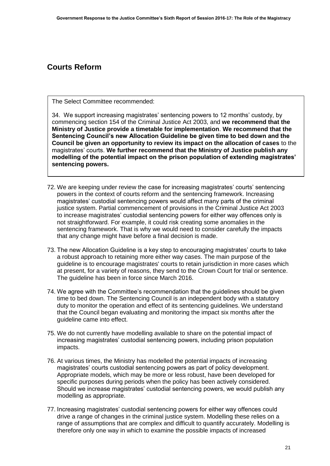#### **Courts Reform**

The Select Committee recommended:

34. We support increasing magistrates' sentencing powers to 12 months' custody, by commencing section 154 of the Criminal Justice Act 2003, and **we recommend that the Ministry of Justice provide a timetable for implementation**. **We recommend that the Sentencing Council's new Allocation Guideline be given time to bed down and the Council be given an opportunity to review its impact on the allocation of cases** to the magistrates' courts. **We further recommend that the Ministry of Justice publish any modelling of the potential impact on the prison population of extending magistrates' sentencing powers.**

- 72. We are keeping under review the case for increasing magistrates' courts' sentencing powers in the context of courts reform and the sentencing framework. Increasing magistrates' custodial sentencing powers would affect many parts of the criminal justice system. Partial commencement of provisions in the Criminal Justice Act 2003 to increase magistrates' custodial sentencing powers for either way offences only is not straightforward. For example, it could risk creating some anomalies in the sentencing framework. That is why we would need to consider carefully the impacts that any change might have before a final decision is made.
- 73. The new Allocation Guideline is a key step to encouraging magistrates' courts to take a robust approach to retaining more either way cases. The main purpose of the guideline is to encourage magistrates' courts to retain jurisdiction in more cases which at present, for a variety of reasons, they send to the Crown Court for trial or sentence. The guideline has been in force since March 2016.
- 74. We agree with the Committee's recommendation that the guidelines should be given time to bed down. The Sentencing Council is an independent body with a statutory duty to monitor the operation and effect of its sentencing guidelines. We understand that the Council began evaluating and monitoring the impact six months after the guideline came into effect.
- 75. We do not currently have modelling available to share on the potential impact of increasing magistrates' custodial sentencing powers, including prison population impacts.
- 76. At various times, the Ministry has modelled the potential impacts of increasing magistrates' courts custodial sentencing powers as part of policy development. Appropriate models, which may be more or less robust, have been developed for specific purposes during periods when the policy has been actively considered. Should we increase magistrates' custodial sentencing powers, we would publish any modelling as appropriate.
- 77. Increasing magistrates' custodial sentencing powers for either way offences could drive a range of changes in the criminal justice system. Modelling these relies on a range of assumptions that are complex and difficult to quantify accurately. Modelling is therefore only one way in which to examine the possible impacts of increased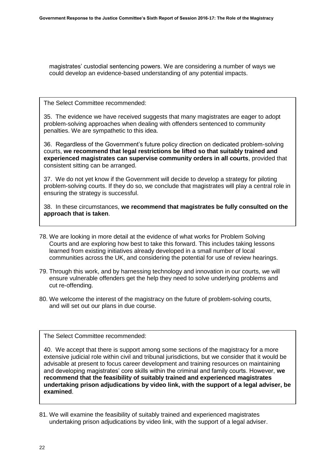magistrates' custodial sentencing powers. We are considering a number of ways we could develop an evidence-based understanding of any potential impacts.

The Select Committee recommended:

35. The evidence we have received suggests that many magistrates are eager to adopt problem-solving approaches when dealing with offenders sentenced to community penalties. We are sympathetic to this idea.

36. Regardless of the Government's future policy direction on dedicated problem-solving courts, **we recommend that legal restrictions be lifted so that suitably trained and experienced magistrates can supervise community orders in all courts**, provided that consistent sitting can be arranged.

37. We do not yet know if the Government will decide to develop a strategy for piloting problem-solving courts. If they do so, we conclude that magistrates will play a central role in ensuring the strategy is successful.

38. In these circumstances, **we recommend that magistrates be fully consulted on the approach that is taken**.

- 78. We are looking in more detail at the evidence of what works for Problem Solving Courts and are exploring how best to take this forward. This includes taking lessons learned from existing initiatives already developed in a small number of local communities across the UK, and considering the potential for use of review hearings.
- 79. Through this work, and by harnessing technology and innovation in our courts, we will ensure vulnerable offenders get the help they need to solve underlying problems and cut re-offending.
- 80. We welcome the interest of the magistracy on the future of problem-solving courts, and will set out our plans in due course.

The Select Committee recommended:

40. We accept that there is support among some sections of the magistracy for a more extensive judicial role within civil and tribunal jurisdictions, but we consider that it would be advisable at present to focus career development and training resources on maintaining and developing magistrates' core skills within the criminal and family courts. However, **we recommend that the feasibility of suitably trained and experienced magistrates undertaking prison adjudications by video link, with the support of a legal adviser, be examined**.

81. We will examine the feasibility of suitably trained and experienced magistrates undertaking prison adjudications by video link, with the support of a legal adviser.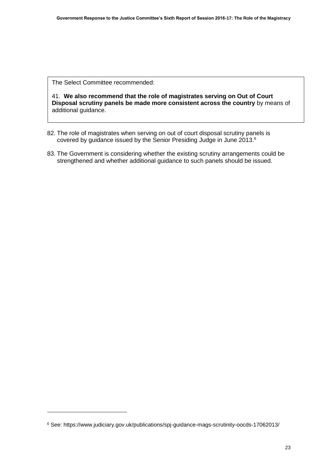41. **We also recommend that the role of magistrates serving on Out of Court Disposal scrutiny panels be made more consistent across the country** by means of additional guidance.

- 82. The role of magistrates when serving on out of court disposal scrutiny panels is covered by guidance issued by the Senior Presiding Judge in June 2013.<sup>6</sup>
- 83. The Government is considering whether the existing scrutiny arrangements could be strengthened and whether additional guidance to such panels should be issued.

-

<sup>6</sup> See:<https://www.judiciary.gov.uk/publications/spj-guidance-mags-scrutinity-oocds-17062013/>